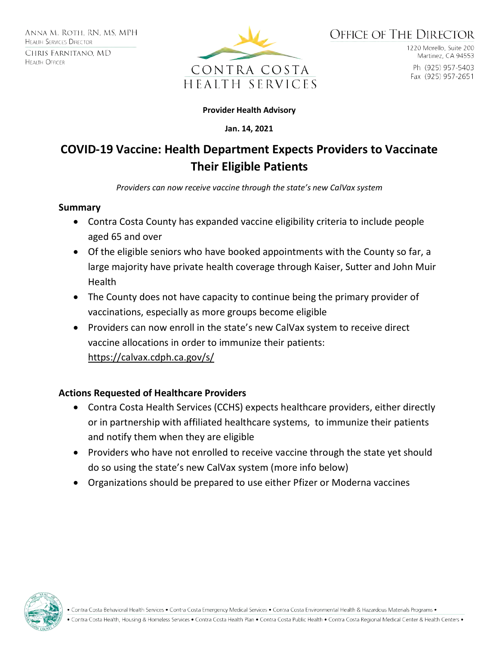

1220 Morello, Suite 200 Martinez, CA 94553 Ph (925) 957-5403 Fax (925) 957-2651

#### **Provider Health Advisory**

**Jan. 14, 2021**

# **COVID-19 Vaccine: Health Department Expects Providers to Vaccinate Their Eligible Patients**

*Providers can now receive vaccine through the state's new CalVax system*

#### **Summary**

- Contra Costa County has expanded vaccine eligibility criteria to include people aged 65 and over
- Of the eligible seniors who have booked appointments with the County so far, a large majority have private health coverage through Kaiser, Sutter and John Muir Health
- The County does not have capacity to continue being the primary provider of vaccinations, especially as more groups become eligible
- Providers can now enroll in the state's new CalVax system to receive direct vaccine allocations in order to immunize their patients: https://calvax.cdph.ca.gov/s/

## **Actions Requested of Healthcare Providers**

- Contra Costa Health Services (CCHS) expects healthcare providers, either directly or in partnership with affiliated healthcare systems, to immunize their patients and notify them when they are eligible
- Providers who have not enrolled to receive vaccine through the state yet should do so using the state's new CalVax system (more info below)
- Organizations should be prepared to use either Pfizer or Moderna vaccines



Contra Costa Behavioral Health Services . Contra Costa Emergency Medical Services . Contra Costa Environmental Health & Hazardous Materials Programs .